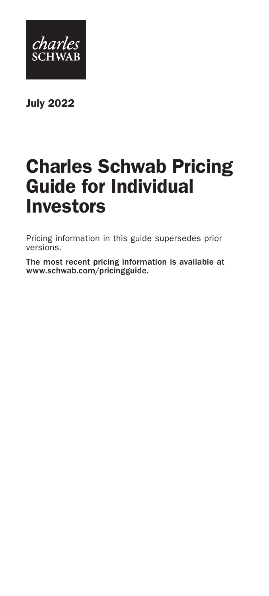

July 2022

# Charles Schwab Pricing Guide for Individual Investors

Pricing information in this guide supersedes prior versions.

The most recent pricing information is available at www.schwab.com/pricingguide.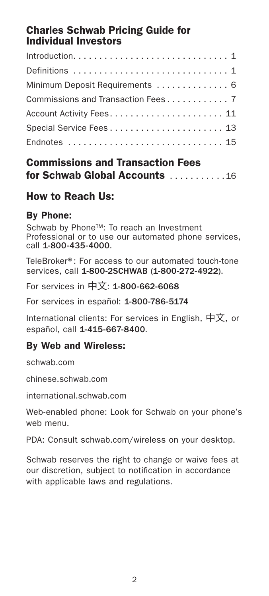## Charles Schwab Pricing Guide for Individual Investors

| Definitions  1                     |
|------------------------------------|
| Minimum Deposit Requirements  6    |
| Commissions and Transaction Fees 7 |
|                                    |
| Special Service Fees 13            |
| Endnotes  15                       |
|                                    |

#### Commissions and Transaction Fees for Schwab Global Accounts  $1, 1, 1, 1, 16$

## How to Reach Us:

#### By Phone:

Schwab by Phone™: To reach an Investment Professional or to use our automated phone services, call 1-800-435-4000.

TeleBroker®: For access to our automated touch-tone services, call 1-800-2SCHWAB (1-800-272-4922).

For services in 中文: 1-800-662-6068

For services in español: 1-800-786-5174

International clients: For services in English, 中文, or español, call 1-415-667-8400.

#### By Web and Wireless:

schwab.com

chinese.schwab.com

international.schwab.com

Web-enabled phone: Look for Schwab on your phone's web menu.

PDA: Consult schwab.com/wireless on your desktop.

Schwab reserves the right to change or waive fees at our discretion, subject to notification in accordance with applicable laws and regulations.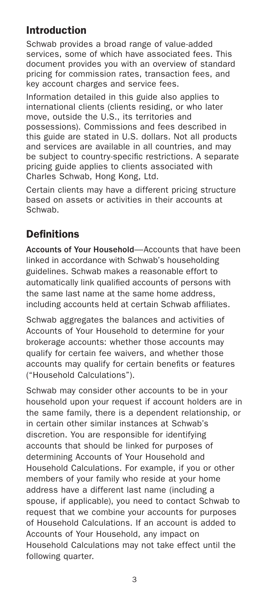## Introduction

Schwab provides a broad range of value-added services, some of which have associated fees. This document provides you with an overview of standard pricing for commission rates, transaction fees, and key account charges and service fees.

Information detailed in this guide also applies to international clients (clients residing, or who later move, outside the U.S., its territories and possessions). Commissions and fees described in this guide are stated in U.S. dollars. Not all products and services are available in all countries, and may be subject to country-specific restrictions. A separate pricing guide applies to clients associated with Charles Schwab, Hong Kong, Ltd.

Certain clients may have a different pricing structure based on assets or activities in their accounts at Schwab.

## **Definitions**

Accounts of Your Household—Accounts that have been linked in accordance with Schwab's householding guidelines. Schwab makes a reasonable effort to automatically link qualified accounts of persons with the same last name at the same home address, including accounts held at certain Schwab affiliates.

Schwab aggregates the balances and activities of Accounts of Your Household to determine for your brokerage accounts: whether those accounts may qualify for certain fee waivers, and whether those accounts may qualify for certain benefits or features ("Household Calculations").

Schwab may consider other accounts to be in your household upon your request if account holders are in the same family, there is a dependent relationship, or in certain other similar instances at Schwab's discretion. You are responsible for identifying accounts that should be linked for purposes of determining Accounts of Your Household and Household Calculations. For example, if you or other members of your family who reside at your home address have a different last name (including a spouse, if applicable), you need to contact Schwab to request that we combine your accounts for purposes of Household Calculations. If an account is added to Accounts of Your Household, any impact on Household Calculations may not take effect until the following quarter.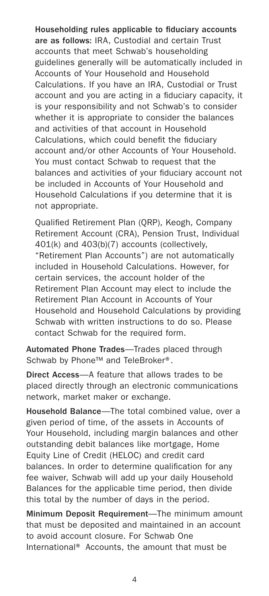Householding rules applicable to fiduciary accounts are as follows: IRA, Custodial and certain Trust accounts that meet Schwab's householding guidelines generally will be automatically included in Accounts of Your Household and Household Calculations. If you have an IRA, Custodial or Trust account and you are acting in a fiduciary capacity, it is your responsibility and not Schwab's to consider whether it is appropriate to consider the balances and activities of that account in Household Calculations, which could benefit the fiduciary account and/or other Accounts of Your Household. You must contact Schwab to request that the balances and activities of your fiduciary account not be included in Accounts of Your Household and Household Calculations if you determine that it is not appropriate.

Qualified Retirement Plan (QRP), Keogh, Company Retirement Account (CRA), Pension Trust, Individual 401(k) and 403(b)(7) accounts (collectively, "Retirement Plan Accounts") are not automatically included in Household Calculations. However, for certain services, the account holder of the Retirement Plan Account may elect to include the Retirement Plan Account in Accounts of Your Household and Household Calculations by providing Schwab with written instructions to do so. Please contact Schwab for the required form.

Automated Phone Trades—Trades placed through Schwab by Phone™ and TeleBroker<sup>®</sup>.

Direct Access—A feature that allows trades to be placed directly through an electronic communications network, market maker or exchange.

Household Balance—The total combined value, over a given period of time, of the assets in Accounts of Your Household, including margin balances and other outstanding debit balances like mortgage, Home Equity Line of Credit (HELOC) and credit card balances. In order to determine qualification for any fee waiver, Schwab will add up your daily Household Balances for the applicable time period, then divide this total by the number of days in the period.

Minimum Deposit Requirement—The minimum amount that must be deposited and maintained in an account to avoid account closure. For Schwab One International® Accounts, the amount that must be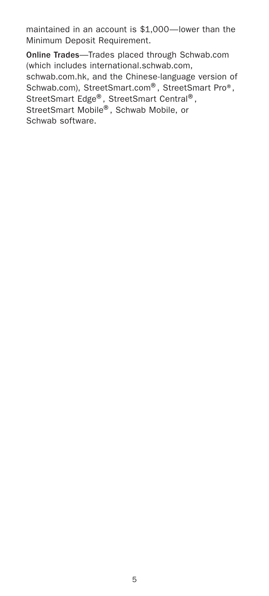maintained in an account is \$1,000—lower than the Minimum Deposit Requirement.

Online Trades—Trades placed through Schwab.com (which includes international.schwab.com, schwab.com.hk, and the Chinese-language version of Schwab.com), StreetSmart.com®, StreetSmart Pro®, StreetSmart Edge®, StreetSmart Central®, StreetSmart Mobile®, Schwab Mobile, or Schwab software.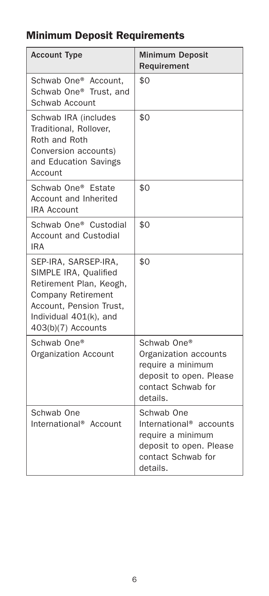## Minimum Deposit Requirements

| <b>Account Type</b>                                                                                                                                                              | <b>Minimum Deposit</b><br>Requirement                                                                                               |
|----------------------------------------------------------------------------------------------------------------------------------------------------------------------------------|-------------------------------------------------------------------------------------------------------------------------------------|
| Schwab One <sup>®</sup> Account.<br>Schwab One® Trust, and<br>Schwab Account                                                                                                     | \$0                                                                                                                                 |
| Schwab IRA (includes<br>Traditional, Rollover,<br>Roth and Roth<br>Conversion accounts)<br>and Education Savings<br>Account                                                      | \$0                                                                                                                                 |
| Schwab One® Estate<br>Account and Inherited<br><b>IRA Account</b>                                                                                                                | \$0                                                                                                                                 |
| Schwab One <sup>®</sup> Custodial<br><b>Account and Custodial</b><br>IRA                                                                                                         | \$0                                                                                                                                 |
| SEP-IRA, SARSEP-IRA,<br>SIMPLE IRA, Qualified<br>Retirement Plan, Keogh,<br><b>Company Retirement</b><br>Account, Pension Trust,<br>Individual 401(k), and<br>403(b)(7) Accounts | \$0                                                                                                                                 |
| Schwab One®<br><b>Organization Account</b>                                                                                                                                       | Schwab One®<br>Organization accounts<br>require a minimum<br>deposit to open. Please<br>contact Schwab for<br>details.              |
| Schwab One<br>International <sup>®</sup> Account                                                                                                                                 | Schwab One<br>International <sup>®</sup> accounts<br>require a minimum<br>deposit to open. Please<br>contact Schwab for<br>details. |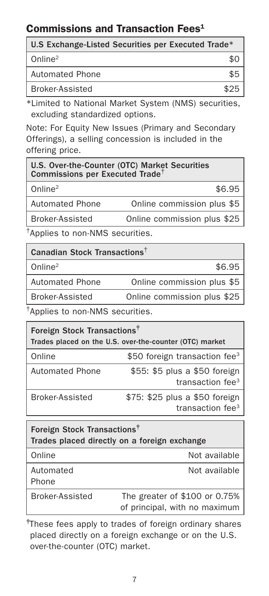## Commissions and Transaction Fees<sup>1</sup>

| U.S Exchange-Listed Securities per Executed Trade* |      |
|----------------------------------------------------|------|
| Online <sup>2</sup>                                |      |
| <b>Automated Phone</b>                             |      |
| Broker-Assisted                                    | \$25 |

\*Limited to National Market System (NMS) securities, excluding standardized options.

Note: For Equity New Issues (Primary and Secondary Offerings), a selling concession is included in the offering price.

| U.S. Over-the-Counter (OTC) Market Securities<br>Commissions per Executed Trade <sup>†</sup> |                             |  |
|----------------------------------------------------------------------------------------------|-----------------------------|--|
| Online $2$                                                                                   | \$6.95                      |  |
| <b>Automated Phone</b>                                                                       | Online commission plus \$5  |  |
| Broker-Assisted                                                                              | Online commission plus \$25 |  |
|                                                                                              |                             |  |

†Applies to non-NMS securities.

| Canadian Stock Transactions <sup>†</sup> |                             |  |
|------------------------------------------|-----------------------------|--|
| Online <sup>2</sup>                      | \$6.95                      |  |
| <b>Automated Phone</b>                   | Online commission plus \$5  |  |
| Broker-Assisted                          | Online commission plus \$25 |  |
|                                          |                             |  |

†Applies to non-NMS securities.

| Foreign Stock Transactions <sup>†</sup><br>Trades placed on the U.S. over-the-counter (OTC) market |                                                      |  |
|----------------------------------------------------------------------------------------------------|------------------------------------------------------|--|
| Online                                                                                             | \$50 foreign transaction fee <sup>3</sup>            |  |
| <b>Automated Phone</b>                                                                             | \$55: \$5 plus a \$50 foreign<br>transaction $fee3$  |  |
| <b>Broker-Assisted</b>                                                                             | \$75: \$25 plus a \$50 foreign<br>transaction $fee3$ |  |

| Foreign Stock Transactions <sup>†</sup><br>Trades placed directly on a foreign exchange |                                                                |  |
|-----------------------------------------------------------------------------------------|----------------------------------------------------------------|--|
| Online                                                                                  | Not available                                                  |  |
| Automated<br>Phone                                                                      | Not available                                                  |  |
| <b>Broker-Assisted</b>                                                                  | The greater of \$100 or 0.75%<br>of principal, with no maximum |  |

‡ These fees apply to trades of foreign ordinary shares placed directly on a foreign exchange or on the U.S. over-the-counter (OTC) market.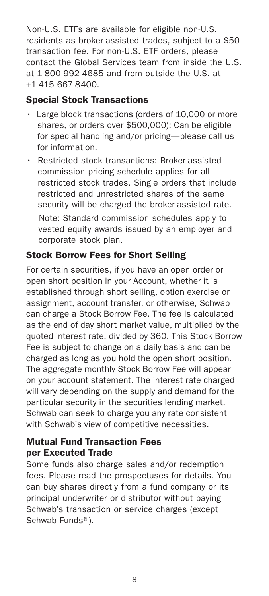Non-U.S. ETFs are available for eligible non-U.S. residents as broker-assisted trades, subject to a \$50 transaction fee. For non-U.S. ETF orders, please contact the Global Services team from inside the U.S. at 1-800-992-4685 and from outside the U.S. at +1-415-667-8400.

#### Special Stock Transactions

- Large block transactions (orders of 10,000 or more shares, or orders over \$500,000): Can be eligible for special handling and/or pricing—please call us for information.
- Restricted stock transactions: Broker-assisted commission pricing schedule applies for all restricted stock trades. Single orders that include restricted and unrestricted shares of the same security will be charged the broker-assisted rate. Note: Standard commission schedules apply to vested equity awards issued by an employer and corporate stock plan.

#### Stock Borrow Fees for Short Selling

For certain securities, if you have an open order or open short position in your Account, whether it is established through short selling, option exercise or assignment, account transfer, or otherwise, Schwab can charge a Stock Borrow Fee. The fee is calculated as the end of day short market value, multiplied by the quoted interest rate, divided by 360. This Stock Borrow Fee is subject to change on a daily basis and can be charged as long as you hold the open short position. The aggregate monthly Stock Borrow Fee will appear on your account statement. The interest rate charged will vary depending on the supply and demand for the particular security in the securities lending market. Schwab can seek to charge you any rate consistent with Schwab's view of competitive necessities.

#### Mutual Fund Transaction Fees per Executed Trade

Some funds also charge sales and/or redemption fees. Please read the prospectuses for details. You can buy shares directly from a fund company or its principal underwriter or distributor without paying Schwab's transaction or service charges (except Schwab Funds®).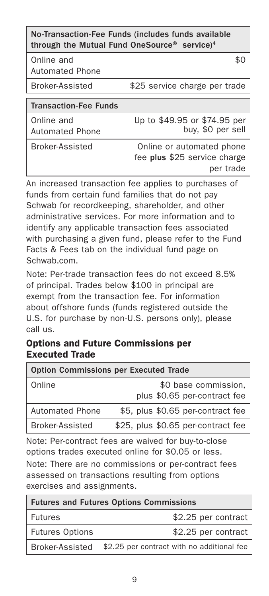#### No-Transaction-Fee Funds (includes funds available through the Mutual Fund OneSource® service)<sup>4</sup>

Online and

Automated Phone

Broker-Assisted \$25 service charge per trade

 $$0$ 

Online and Automated Phone Up to \$49.95 or \$74.95 per buy, \$0 per sell

Broker-Assisted Online or automated phone fee plus \$25 service charge per trade

An increased transaction fee applies to purchases of funds from certain fund families that do not pay Schwab for recordkeeping, shareholder, and other administrative services. For more information and to identify any applicable transaction fees associated with purchasing a given fund, please refer to the Fund Facts & Fees tab on the individual fund page on Schwab.com.

Note: Per-trade transaction fees do not exceed 8.5% of principal. Trades below \$100 in principal are exempt from the transaction fee. For information about offshore funds (funds registered outside the U.S. for purchase by non-U.S. persons only), please call us.

#### Options and Future Commissions per Executed Trade

| <b>Option Commissions per Executed Trade</b> |                                    |  |  |
|----------------------------------------------|------------------------------------|--|--|
| Online                                       | \$0 base commission,               |  |  |
|                                              | plus \$0.65 per-contract fee       |  |  |
| <b>Automated Phone</b>                       | \$5, plus \$0.65 per-contract fee  |  |  |
| Broker-Assisted                              | \$25, plus \$0.65 per-contract fee |  |  |

Note: Per-contract fees are waived for buy-to-close options trades executed online for \$0.05 or less. Note: There are no commissions or per-contract fees assessed on transactions resulting from options exercises and assignments.

| <b>Futures and Futures Options Commissions</b> |                                                            |  |
|------------------------------------------------|------------------------------------------------------------|--|
| <b>Futures</b>                                 | \$2.25 per contract                                        |  |
| <b>Futures Options</b>                         | \$2.25 per contract                                        |  |
|                                                | Broker-Assisted \$2.25 per contract with no additional fee |  |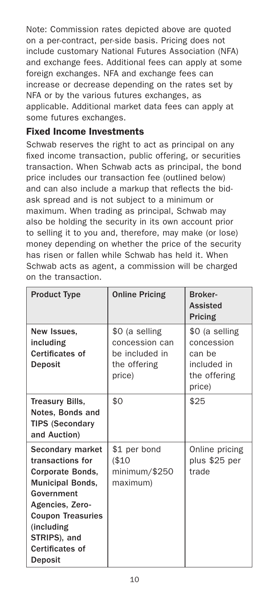Note: Commission rates depicted above are quoted on a per-contract, per-side basis. Pricing does not include customary National Futures Association (NFA) and exchange fees. Additional fees can apply at some foreign exchanges. NFA and exchange fees can increase or decrease depending on the rates set by NFA or by the various futures exchanges, as applicable. Additional market data fees can apply at some futures exchanges.

#### Fixed Income Investments

Schwab reserves the right to act as principal on any fixed income transaction, public offering, or securities transaction. When Schwab acts as principal, the bond price includes our transaction fee (outlined below) and can also include a markup that reflects the bidask spread and is not subject to a minimum or maximum. When trading as principal, Schwab may also be holding the security in its own account prior to selling it to you and, therefore, may make (or lose) money depending on whether the price of the security has risen or fallen while Schwab has held it. When Schwab acts as agent, a commission will be charged on the transaction.

| <b>Product Type</b>                                                                                                                                                                                          | <b>Online Pricing</b>                                                        | Broker-<br><b>Assisted</b><br>Pricing                                           |
|--------------------------------------------------------------------------------------------------------------------------------------------------------------------------------------------------------------|------------------------------------------------------------------------------|---------------------------------------------------------------------------------|
| New Issues.<br>including<br>Certificates of<br>Deposit                                                                                                                                                       | \$0 (a selling<br>concession can<br>be included in<br>the offering<br>price) | \$0 (a selling<br>concession<br>can be<br>included in<br>the offering<br>price) |
| <b>Treasury Bills,</b><br>Notes, Bonds and<br><b>TIPS (Secondary</b><br>and Auction)                                                                                                                         | \$0                                                                          | \$25                                                                            |
| Secondary market<br>transactions for<br>Corporate Bonds,<br><b>Municipal Bonds,</b><br>Government<br>Agencies, Zero-<br><b>Coupon Treasuries</b><br>(including<br>STRIPS), and<br>Certificates of<br>Deposit | \$1 per bond<br>(\$10<br>minimum/\$250<br>maximum)                           | Online pricing<br>plus \$25 per<br>trade                                        |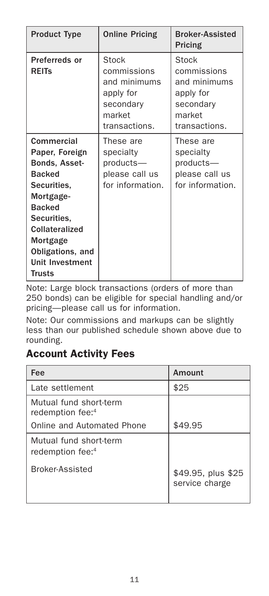| <b>Product Type</b>                                                                                                                                                                                              | <b>Online Pricing</b>                                                                     | <b>Broker-Assisted</b><br>Pricing                                                         |
|------------------------------------------------------------------------------------------------------------------------------------------------------------------------------------------------------------------|-------------------------------------------------------------------------------------------|-------------------------------------------------------------------------------------------|
| Preferreds or<br><b>REITs</b>                                                                                                                                                                                    | Stock<br>commissions<br>and minimums<br>apply for<br>secondary<br>market<br>transactions. | Stock<br>commissions<br>and minimums<br>apply for<br>secondary<br>market<br>transactions. |
| Commercial<br>Paper, Foreign<br>Bonds, Asset-<br><b>Backed</b><br>Securities.<br>Mortgage-<br><b>Backed</b><br>Securities.<br>Collateralized<br>Mortgage<br>Obligations, and<br><b>Unit Investment</b><br>Trusts | These are<br>specialty<br>products-<br>please call us<br>for information.                 | These are<br>specialty<br>products-<br>please call us<br>for information.                 |

Note: Large block transactions (orders of more than 250 bonds) can be eligible for special handling and/or pricing—please call us for information.

Note: Our commissions and markups can be slightly less than our published schedule shown above due to rounding.

## Account Activity Fees

| Fee                                                    | Amount                               |
|--------------------------------------------------------|--------------------------------------|
| Late settlement                                        | \$25                                 |
| Mutual fund short-term<br>redemption fee: <sup>4</sup> |                                      |
| Online and Automated Phone                             | \$49.95                              |
| Mutual fund short-term<br>redemption fee: <sup>4</sup> |                                      |
| Broker-Assisted                                        | \$49.95, plus \$25<br>service charge |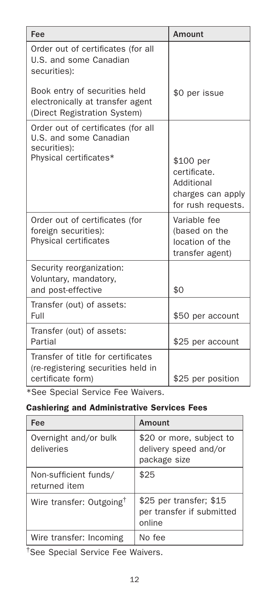| Fee                                                                                                    | Amount                                                                             |
|--------------------------------------------------------------------------------------------------------|------------------------------------------------------------------------------------|
| Order out of certificates (for all<br>U.S. and some Canadian<br>securities):                           |                                                                                    |
| Book entry of securities held<br>electronically at transfer agent<br>(Direct Registration System)      | \$0 per issue                                                                      |
| Order out of certificates (for all<br>U.S. and some Canadian<br>securities):<br>Physical certificates* | \$100 per<br>certificate.<br>Additional<br>charges can apply<br>for rush requests. |
| Order out of certificates (for<br>foreign securities):<br>Physical certificates                        | Variable fee<br>(based on the<br>location of the<br>transfer agent)                |
| Security reorganization:<br>Voluntary, mandatory,<br>and post-effective                                | \$0                                                                                |
| Transfer (out) of assets:<br>Full                                                                      | \$50 per account                                                                   |
| Transfer (out) of assets:<br>Partial                                                                   | \$25 per account                                                                   |
| Transfer of title for certificates<br>(re-registering securities held in<br>certificate form)          | \$25 per position                                                                  |

\*See Special Service Fee Waivers.

#### Cashiering and Administrative Services Fees

| Fee                                    | Amount                                                            |
|----------------------------------------|-------------------------------------------------------------------|
| Overnight and/or bulk<br>deliveries    | \$20 or more, subject to<br>delivery speed and/or<br>package size |
| Non-sufficient funds/<br>returned item | \$25                                                              |
| Wire transfer: Outgoing <sup>†</sup>   | \$25 per transfer; \$15<br>per transfer if submitted<br>online    |
| Wire transfer: Incoming                | No fee                                                            |

†See Special Service Fee Waivers.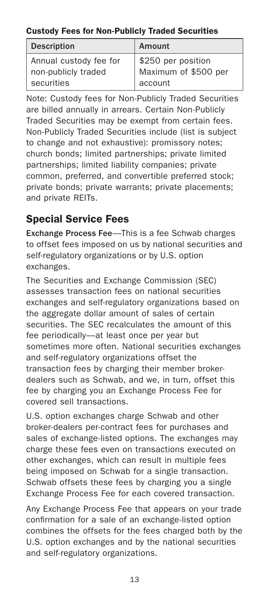#### Custody Fees for Non-Publicly Traded Securities

| <b>Description</b>                            | Amount                                     |
|-----------------------------------------------|--------------------------------------------|
| Annual custody fee for<br>non-publicly traded | \$250 per position<br>Maximum of \$500 per |
| securities                                    | account                                    |

Note: Custody fees for Non-Publicly Traded Securities are billed annually in arrears. Certain Non-Publicly Traded Securities may be exempt from certain fees. Non-Publicly Traded Securities include (list is subject to change and not exhaustive): promissory notes; church bonds; limited partnerships; private limited partnerships; limited liability companies; private common, preferred, and convertible preferred stock; private bonds; private warrants; private placements; and private REITs.

## Special Service Fees

Exchange Process Fee—This is a fee Schwab charges to offset fees imposed on us by national securities and self-regulatory organizations or by U.S. option exchanges.

The Securities and Exchange Commission (SEC) assesses transaction fees on national securities exchanges and self-regulatory organizations based on the aggregate dollar amount of sales of certain securities. The SEC recalculates the amount of this fee periodically—at least once per year but sometimes more often. National securities exchanges and self-regulatory organizations offset the transaction fees by charging their member brokerdealers such as Schwab, and we, in turn, offset this fee by charging you an Exchange Process Fee for covered sell transactions.

U.S. option exchanges charge Schwab and other broker-dealers per-contract fees for purchases and sales of exchange-listed options. The exchanges may charge these fees even on transactions executed on other exchanges, which can result in multiple fees being imposed on Schwab for a single transaction. Schwab offsets these fees by charging you a single Exchange Process Fee for each covered transaction.

Any Exchange Process Fee that appears on your trade confirmation for a sale of an exchange-listed option combines the offsets for the fees charged both by the U.S. option exchanges and by the national securities and self-regulatory organizations.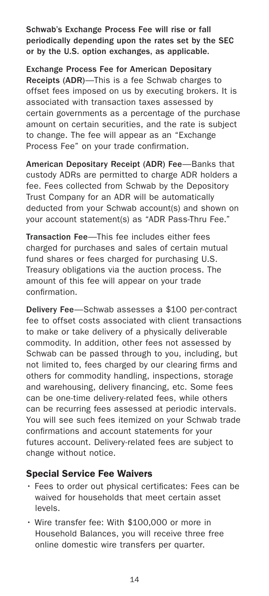Schwab's Exchange Process Fee will rise or fall periodically depending upon the rates set by the SEC or by the U.S. option exchanges, as applicable.

Exchange Process Fee for American Depositary Receipts (ADR)—This is a fee Schwab charges to offset fees imposed on us by executing brokers. It is associated with transaction taxes assessed by certain governments as a percentage of the purchase amount on certain securities, and the rate is subject to change. The fee will appear as an "Exchange Process Fee" on your trade confirmation.

American Depositary Receipt (ADR) Fee—Banks that custody ADRs are permitted to charge ADR holders a fee. Fees collected from Schwab by the Depository Trust Company for an ADR will be automatically deducted from your Schwab account(s) and shown on your account statement(s) as "ADR Pass-Thru Fee."

Transaction Fee—This fee includes either fees charged for purchases and sales of certain mutual fund shares or fees charged for purchasing U.S. Treasury obligations via the auction process. The amount of this fee will appear on your trade confirmation.

Delivery Fee—Schwab assesses a \$100 per-contract fee to offset costs associated with client transactions to make or take delivery of a physically deliverable commodity. In addition, other fees not assessed by Schwab can be passed through to you, including, but not limited to, fees charged by our clearing firms and others for commodity handling, inspections, storage and warehousing, delivery financing, etc. Some fees can be one-time delivery-related fees, while others can be recurring fees assessed at periodic intervals. You will see such fees itemized on your Schwab trade confirmations and account statements for your futures account. Delivery-related fees are subject to change without notice.

#### Special Service Fee Waivers

- Fees to order out physical certificates: Fees can be waived for households that meet certain asset levels.
- Wire transfer fee: With \$100,000 or more in Household Balances, you will receive three free online domestic wire transfers per quarter.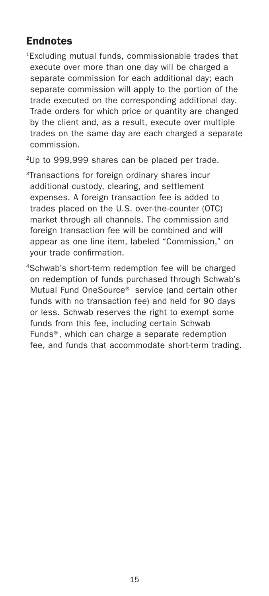## Endnotes

1Excluding mutual funds, commissionable trades that execute over more than one day will be charged a separate commission for each additional day; each separate commission will apply to the portion of the trade executed on the corresponding additional day. Trade orders for which price or quantity are changed by the client and, as a result, execute over multiple trades on the same day are each charged a separate commission.

2Up to 999,999 shares can be placed per trade.

- 3Transactions for foreign ordinary shares incur additional custody, clearing, and settlement expenses. A foreign transaction fee is added to trades placed on the U.S. over-the-counter (OTC) market through all channels. The commission and foreign transaction fee will be combined and will appear as one line item, labeled "Commission," on your trade confirmation.
- 4Schwab's short-term redemption fee will be charged on redemption of funds purchased through Schwab's Mutual Fund OneSource® service (and certain other funds with no transaction fee) and held for 90 days or less. Schwab reserves the right to exempt some funds from this fee, including certain Schwab Funds®, which can charge a separate redemption fee, and funds that accommodate short-term trading.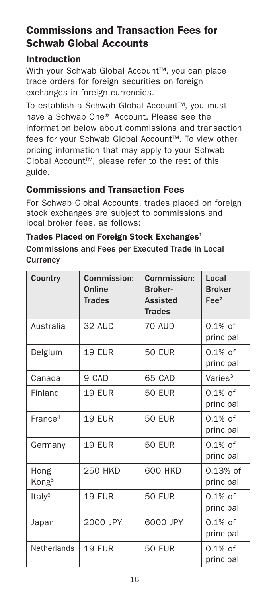## Commissions and Transaction Fees for Schwab Global Accounts

#### Introduction

With your Schwab Global Account™, you can place trade orders for foreign securities on foreign exchanges in foreign currencies.

To establish a Schwab Global Account™, you must have a Schwab One® Account. Please see the information below about commissions and transaction fees for your Schwab Global Account™. To view other pricing information that may apply to your Schwab Global Account™, please refer to the rest of this guide.

#### Commissions and Transaction Fees

For Schwab Global Accounts, trades placed on foreign stock exchanges are subject to commissions and local broker fees, as follows:

#### Trades Placed on Foreign Stock Exchanges<sup>1</sup> Commissions and Fees per Executed Trade in Local **Currency**

| Country                   | Commission:<br>Online<br><b>Trades</b> | Commission:<br><b>Broker-</b><br><b>Assisted</b><br><b>Trades</b> | Local<br><b>Broker</b><br>Fe <sup>2</sup> |
|---------------------------|----------------------------------------|-------------------------------------------------------------------|-------------------------------------------|
| Australia                 | 32 AUD                                 | 70 AUD                                                            | $0.1\%$ of<br>principal                   |
| Belgium                   | <b>19 EUR</b>                          | <b>50 EUR</b>                                                     | $0.1\%$ of<br>principal                   |
| Canada                    | 9 CAD                                  | 65 CAD                                                            | Varies <sup>3</sup>                       |
| Finland                   | <b>19 EUR</b>                          | <b>50 EUR</b>                                                     | $0.1\%$ of<br>principal                   |
| France <sup>4</sup>       | <b>19 EUR</b>                          | <b>50 EUR</b>                                                     | $0.1\%$ of<br>principal                   |
| Germany                   | 19 EUR                                 | <b>50 EUR</b>                                                     | $0.1\%$ of<br>principal                   |
| Hong<br>Kong <sup>5</sup> | <b>250 HKD</b>                         | 600 HKD                                                           | $0.13%$ of<br>principal                   |
| Italy <sup>6</sup>        | <b>19 EUR</b>                          | <b>50 EUR</b>                                                     | $0.1\%$ of<br>principal                   |
| Japan                     | 2000 JPY                               | 6000 JPY                                                          | $0.1\%$ of<br>principal                   |
| Netherlands               | <b>19 EUR</b>                          | <b>50 EUR</b>                                                     | $0.1\%$ of<br>principal                   |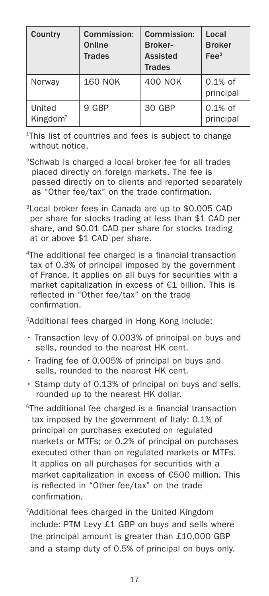| Country                        | Commission:<br>Online<br><b>Trades</b> | Commission:<br>Broker-<br><b>Assisted</b><br><b>Trades</b> | Local<br><b>Broker</b><br>$\text{Fe}e^2$ |
|--------------------------------|----------------------------------------|------------------------------------------------------------|------------------------------------------|
| Norway                         | <b>160 NOK</b>                         | <b>400 NOK</b>                                             | $0.1\%$ of<br>principal                  |
| United<br>Kingdom <sup>7</sup> | 9 GBP                                  | 30 GBP                                                     | $0.1\%$ of<br>principal                  |

1 This list of countries and fees is subject to change without notice.

- 2Schwab is charged a local broker fee for all trades placed directly on foreign markets. The fee is passed directly on to clients and reported separately as "Other fee/tax" on the trade confirmation.
- 3Local broker fees in Canada are up to \$0.005 CAD per share for stocks trading at less than \$1 CAD per share, and \$0.01 CAD per share for stocks trading at or above \$1 CAD per share.
- 4The additional fee charged is a financial transaction tax of 0.3% of principal imposed by the government of France. It applies on all buys for securities with a market capitalization in excess of €1 billion. This is reflected in "Other fee/tax" on the trade confirmation.

5Additional fees charged in Hong Kong include:

- Transaction levy of 0.003% of principal on buys and sells, rounded to the nearest HK cent.
- Trading fee of 0.005% of principal on buys and sells, rounded to the nearest HK cent.
- Stamp duty of 0.13% of principal on buys and sells, rounded up to the nearest HK dollar.
- 6The additional fee charged is a financial transaction tax imposed by the government of Italy: 0.1% of principal on purchases executed on regulated markets or MTFs; or 0.2% of principal on purchases executed other than on regulated markets or MTFs. It applies on all purchases for securities with a market capitalization in excess of €500 million. This is reflected in "Other fee/tax" on the trade confirmation.
- 7 Additional fees charged in the United Kingdom include: PTM Levy £1 GBP on buys and sells where the principal amount is greater than £10,000 GBP and a stamp duty of 0.5% of principal on buys only.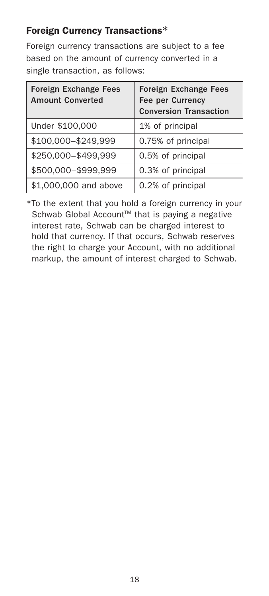### Foreign Currency Transactions\*

Foreign currency transactions are subject to a fee based on the amount of currency converted in a single transaction, as follows:

| <b>Foreign Exchange Fees</b><br><b>Amount Converted</b> | <b>Foreign Exchange Fees</b><br>Fee per Currency<br><b>Conversion Transaction</b> |
|---------------------------------------------------------|-----------------------------------------------------------------------------------|
| Under \$100,000                                         | 1% of principal                                                                   |
| \$100,000-\$249,999                                     | 0.75% of principal                                                                |
| \$250,000-\$499,999                                     | 0.5% of principal                                                                 |
| \$500,000-\$999,999                                     | 0.3% of principal                                                                 |
| \$1,000,000 and above                                   | 0.2% of principal                                                                 |

\*To the extent that you hold a foreign currency in your Schwab Global Account<sup>™</sup> that is paying a negative interest rate, Schwab can be charged interest to hold that currency. If that occurs, Schwab reserves the right to charge your Account, with no additional markup, the amount of interest charged to Schwab.